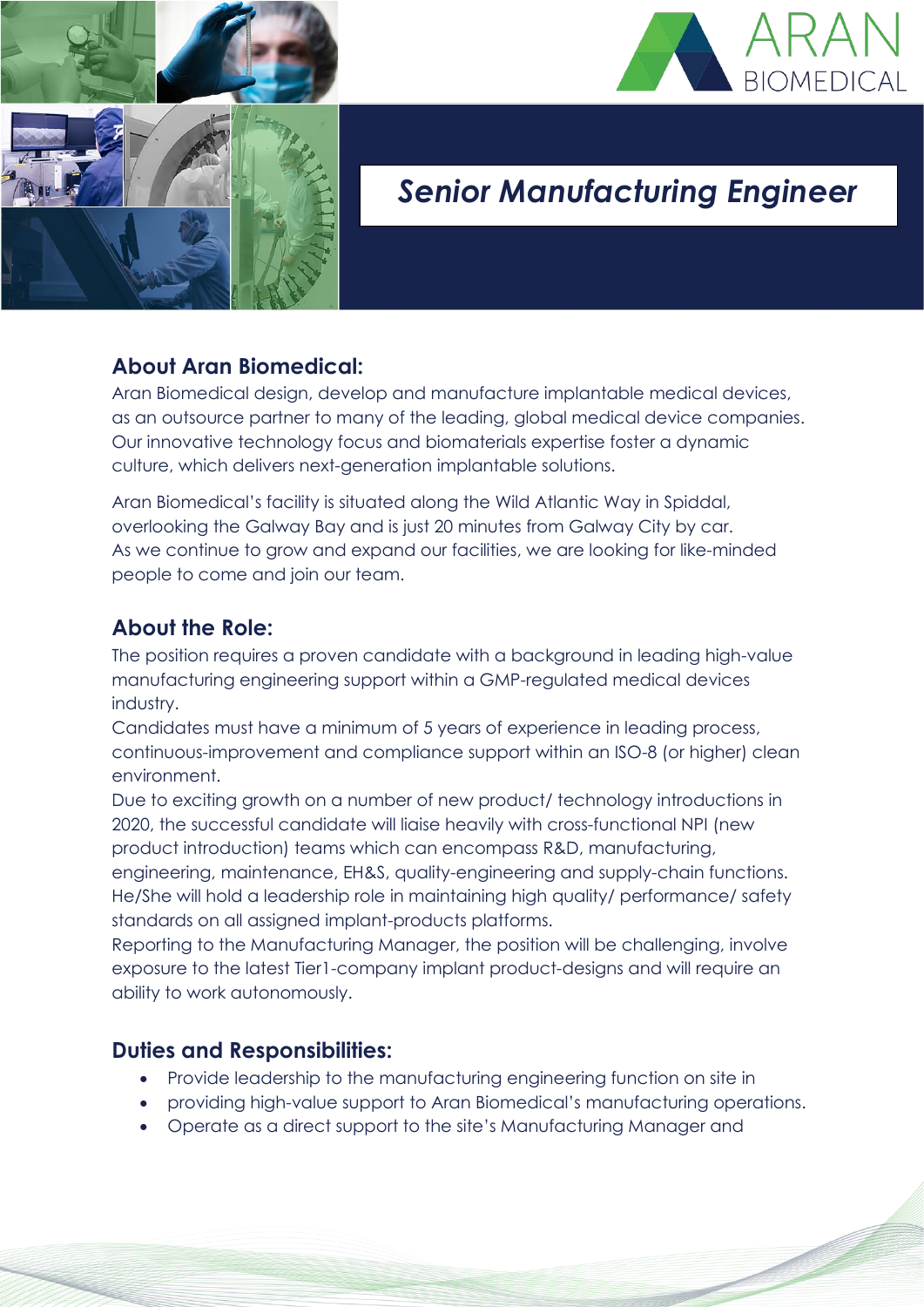



# *Senior Manufacturing Engineer*

# **About Aran Biomedical:**

Aran Biomedical design, develop and manufacture implantable medical devices, as an outsource partner to many of the leading, global medical device companies. Our innovative technology focus and biomaterials expertise foster a dynamic culture, which delivers next-generation implantable solutions.

Aran Biomedical's facility is situated along the Wild Atlantic Way in Spiddal, overlooking the Galway Bay and is just 20 minutes from Galway City by car. As we continue to grow and expand our facilities, we are looking for like-minded people to come and join our team.

### **About the Role:**

The position requires a proven candidate with a background in leading high-value manufacturing engineering support within a GMP-regulated medical devices industry.

Candidates must have a minimum of 5 years of experience in leading process, continuous-improvement and compliance support within an ISO-8 (or higher) clean environment.

Due to exciting growth on a number of new product/ technology introductions in 2020, the successful candidate will liaise heavily with cross-functional NPI (new product introduction) teams which can encompass R&D, manufacturing, engineering, maintenance, EH&S, quality-engineering and supply-chain functions. He/She will hold a leadership role in maintaining high quality/ performance/ safety standards on all assigned implant-products platforms.

Reporting to the Manufacturing Manager, the position will be challenging, involve exposure to the latest Tier1-company implant product-designs and will require an ability to work autonomously.

# **Duties and Responsibilities:**

- Provide leadership to the manufacturing engineering function on site in
- providing high-value support to Aran Biomedical's manufacturing operations.
- Operate as a direct support to the site's Manufacturing Manager and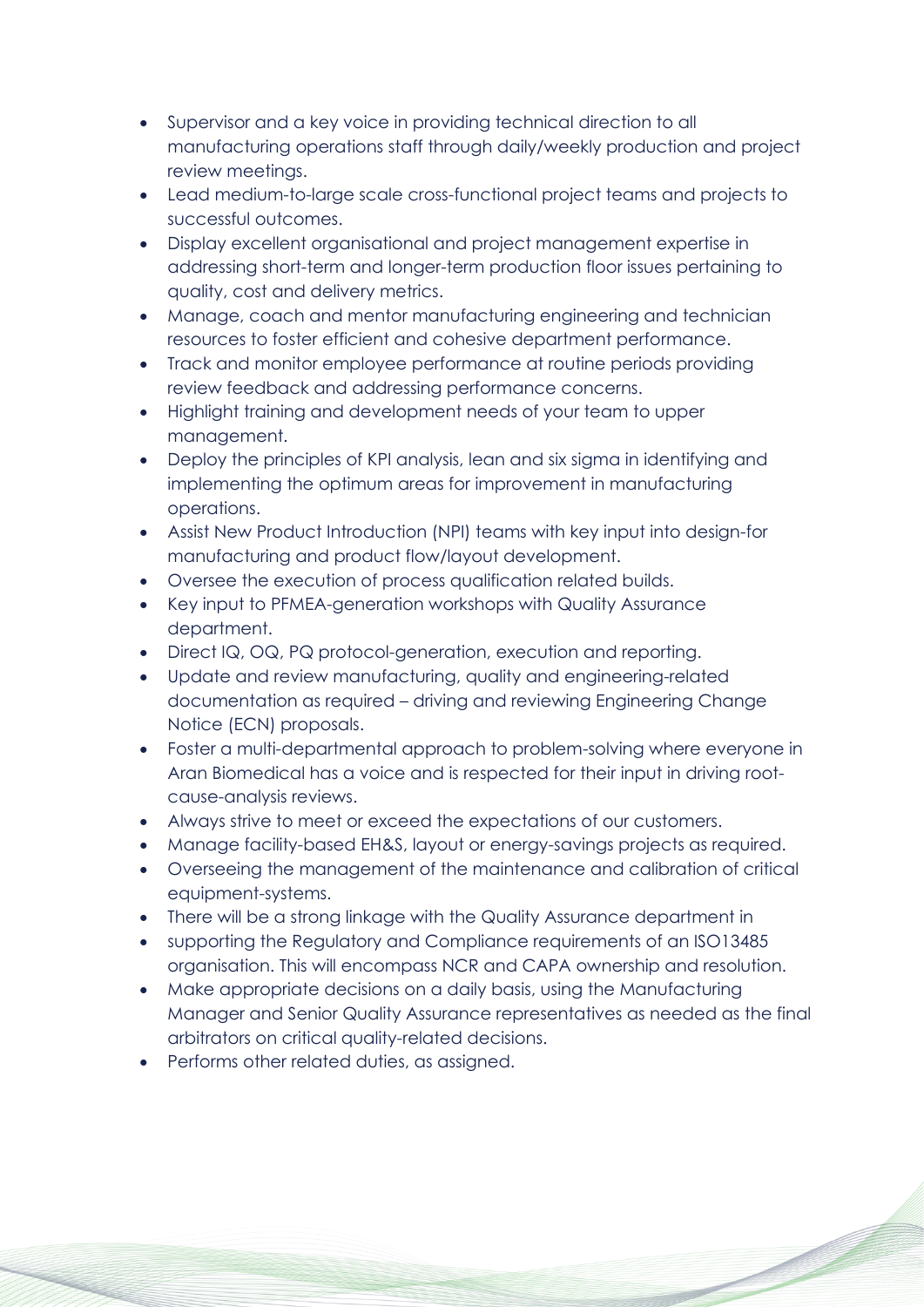- Supervisor and a key voice in providing technical direction to all manufacturing operations staff through daily/weekly production and project review meetings.
- Lead medium-to-large scale cross-functional project teams and projects to successful outcomes.
- Display excellent organisational and project management expertise in addressing short-term and longer-term production floor issues pertaining to quality, cost and delivery metrics.
- Manage, coach and mentor manufacturing engineering and technician resources to foster efficient and cohesive department performance.
- Track and monitor employee performance at routine periods providing review feedback and addressing performance concerns.
- Highlight training and development needs of your team to upper management.
- Deploy the principles of KPI analysis, lean and six sigma in identifying and implementing the optimum areas for improvement in manufacturing operations.
- Assist New Product Introduction (NPI) teams with key input into design-for manufacturing and product flow/layout development.
- Oversee the execution of process qualification related builds.
- Key input to PFMEA-generation workshops with Quality Assurance department.
- Direct IQ, OQ, PQ protocol-generation, execution and reporting.
- Update and review manufacturing, quality and engineering-related documentation as required – driving and reviewing Engineering Change Notice (ECN) proposals.
- Foster a multi-departmental approach to problem-solving where everyone in Aran Biomedical has a voice and is respected for their input in driving rootcause-analysis reviews.
- Always strive to meet or exceed the expectations of our customers.
- Manage facility-based EH&S, layout or energy-savings projects as required.
- Overseeing the management of the maintenance and calibration of critical equipment-systems.
- There will be a strong linkage with the Quality Assurance department in
- supporting the Regulatory and Compliance requirements of an ISO13485 organisation. This will encompass NCR and CAPA ownership and resolution.
- Make appropriate decisions on a daily basis, using the Manufacturing Manager and Senior Quality Assurance representatives as needed as the final arbitrators on critical quality-related decisions.
- Performs other related duties, as assigned.